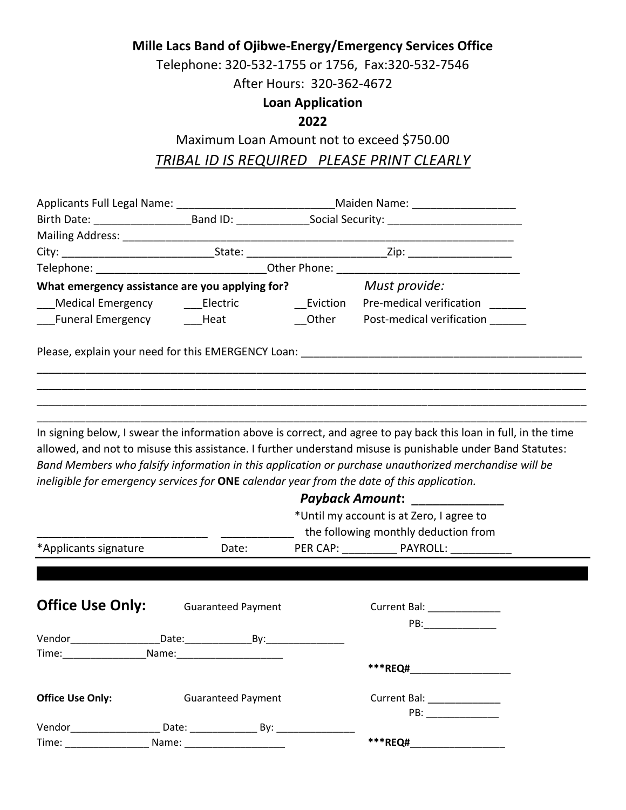**Mille Lacs Band of Ojibwe-Energy/Emergency Services Office**

Telephone: 320-532-1755 or 1756, Fax:320-532-7546

After Hours: 320-362-4672

### **Loan Application**

### **2022**

## Maximum Loan Amount not to exceed \$750.00 *TRIBAL ID IS REQUIRED PLEASE PRINT CLEARLY*

|                                                                                            |       | Applicants Full Legal Name: ________________________________Maiden Name: __________________________            |                                                                                                                                                                                                                                                                                                                                         |  |  |  |
|--------------------------------------------------------------------------------------------|-------|----------------------------------------------------------------------------------------------------------------|-----------------------------------------------------------------------------------------------------------------------------------------------------------------------------------------------------------------------------------------------------------------------------------------------------------------------------------------|--|--|--|
|                                                                                            |       | Birth Date: ___________________________Band ID: ___________________Social Security: __________________________ |                                                                                                                                                                                                                                                                                                                                         |  |  |  |
|                                                                                            |       |                                                                                                                |                                                                                                                                                                                                                                                                                                                                         |  |  |  |
|                                                                                            |       |                                                                                                                |                                                                                                                                                                                                                                                                                                                                         |  |  |  |
|                                                                                            |       |                                                                                                                |                                                                                                                                                                                                                                                                                                                                         |  |  |  |
| What emergency assistance are you applying for? Must provide:                              |       |                                                                                                                |                                                                                                                                                                                                                                                                                                                                         |  |  |  |
|                                                                                            |       |                                                                                                                | _Medical Emergency    ____Electric       ___Eviction  Pre-medical verification _______                                                                                                                                                                                                                                                  |  |  |  |
|                                                                                            |       |                                                                                                                | ___Funeral Emergency _____Heat _______________Other ____Post-medical verification                                                                                                                                                                                                                                                       |  |  |  |
|                                                                                            |       |                                                                                                                |                                                                                                                                                                                                                                                                                                                                         |  |  |  |
| ineligible for emergency services for ONE calendar year from the date of this application. |       |                                                                                                                | In signing below, I swear the information above is correct, and agree to pay back this loan in full, in the time<br>allowed, and not to misuse this assistance. I further understand misuse is punishable under Band Statutes:<br>Band Members who falsify information in this application or purchase unauthorized merchandise will be |  |  |  |
|                                                                                            |       |                                                                                                                | Payback Amount:                                                                                                                                                                                                                                                                                                                         |  |  |  |
|                                                                                            |       |                                                                                                                | *Until my account is at Zero, I agree to<br>the following monthly deduction from                                                                                                                                                                                                                                                        |  |  |  |
| *Applicants signature                                                                      | Date: |                                                                                                                | PER CAP: PAYROLL:                                                                                                                                                                                                                                                                                                                       |  |  |  |

| <b>Office Use Only:</b>                                                                                                                                                                                                        |                           | <b>Guaranteed Payment</b> | Current Bal: New York 1997    |
|--------------------------------------------------------------------------------------------------------------------------------------------------------------------------------------------------------------------------------|---------------------------|---------------------------|-------------------------------|
|                                                                                                                                                                                                                                |                           |                           | PB:                           |
| Vendor                                                                                                                                                                                                                         |                           |                           |                               |
| Time: The controller and the controller and the controller and controller and controller and controller and controller and controller and controller and controller and controller and controller and controller and controlle | Name:                     |                           |                               |
|                                                                                                                                                                                                                                |                           |                           | ***REQ#                       |
| <b>Office Use Only:</b>                                                                                                                                                                                                        | <b>Guaranteed Payment</b> |                           | Current Bal: ________________ |
|                                                                                                                                                                                                                                |                           |                           | PB:                           |
| Vendor                                                                                                                                                                                                                         |                           | By:                       |                               |
| Time:                                                                                                                                                                                                                          | Name:                     |                           | ***REQ#                       |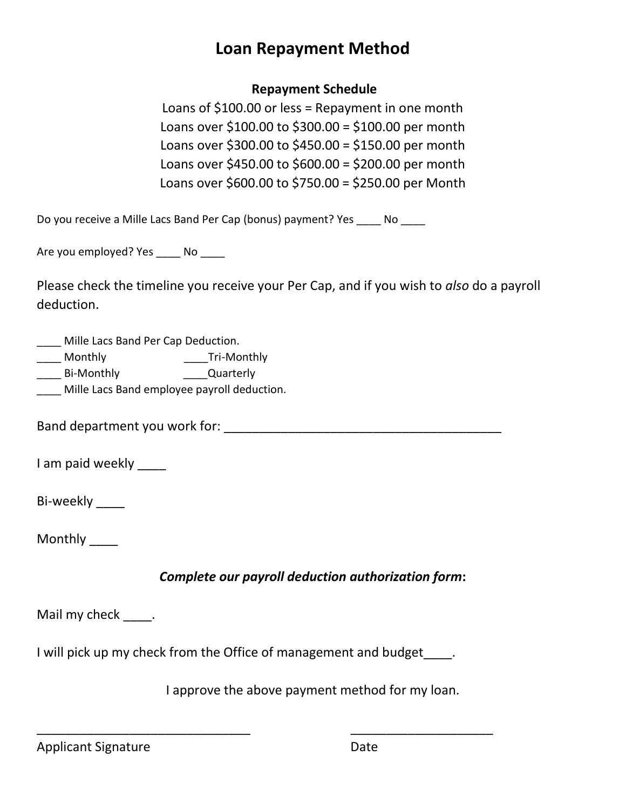## **Loan Repayment Method**

#### **Repayment Schedule**

Loans of \$100.00 or less = Repayment in one month Loans over \$100.00 to \$300.00 = \$100.00 per month Loans over \$300.00 to \$450.00 = \$150.00 per month Loans over \$450.00 to \$600.00 = \$200.00 per month Loans over \$600.00 to \$750.00 = \$250.00 per Month

Do you receive a Mille Lacs Band Per Cap (bonus) payment? Yes \_\_\_\_\_ No \_\_\_\_\_

Are you employed? Yes \_\_\_\_\_ No \_\_\_\_\_

Please check the timeline you receive your Per Cap, and if you wish to *also* do a payroll deduction.

\_\_\_\_ Mille Lacs Band Per Cap Deduction.

\_\_\_\_\_ Monthly \_\_\_\_\_Tri-Monthly

\_\_\_\_ Bi-Monthly \_\_\_\_Quarterly

\_\_\_\_ Mille Lacs Band employee payroll deduction.

Band department you work for: \_\_\_\_\_\_\_\_\_\_\_\_\_\_\_\_\_\_\_\_\_\_\_\_\_\_\_\_\_\_\_\_\_\_\_\_\_\_\_

I am paid weekly

Bi-weekly

Monthly \_\_\_\_

#### *Complete our payroll deduction authorization form***:**

Mail my check \_\_\_\_.

I will pick up my check from the Office of management and budget .

\_\_\_\_\_\_\_\_\_\_\_\_\_\_\_\_\_\_\_\_\_\_\_\_\_\_\_\_\_\_ \_\_\_\_\_\_\_\_\_\_\_\_\_\_\_\_\_\_\_\_

I approve the above payment method for my loan.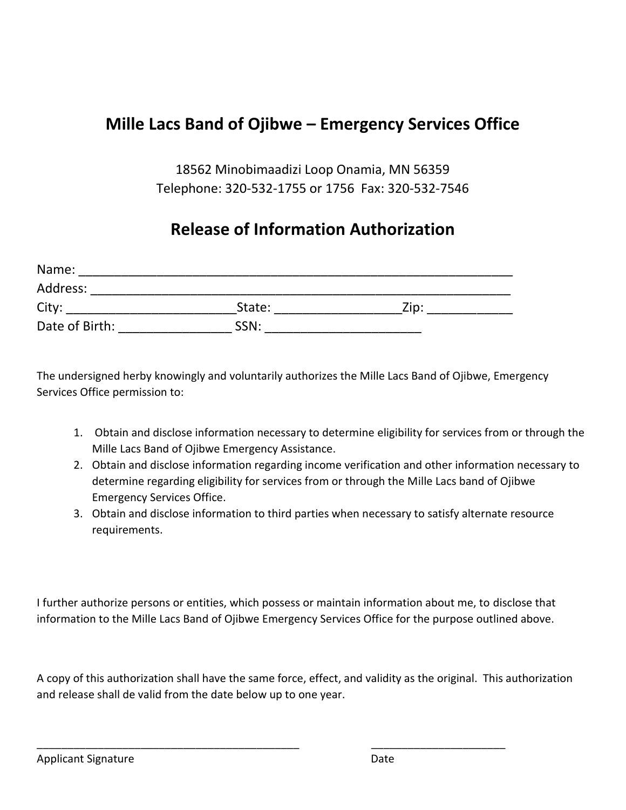# **Mille Lacs Band of Ojibwe – Emergency Services Office**

18562 Minobimaadizi Loop Onamia, MN 56359 Telephone: 320-532-1755 or 1756 Fax: 320-532-7546

# **Release of Information Authorization**

| Name:          |        |      |  |
|----------------|--------|------|--|
| Address:       |        |      |  |
| City:          | State: | Zip: |  |
| Date of Birth: | SSN:   |      |  |

The undersigned herby knowingly and voluntarily authorizes the Mille Lacs Band of Ojibwe, Emergency Services Office permission to:

- 1. Obtain and disclose information necessary to determine eligibility for services from or through the Mille Lacs Band of Ojibwe Emergency Assistance.
- 2. Obtain and disclose information regarding income verification and other information necessary to determine regarding eligibility for services from or through the Mille Lacs band of Ojibwe Emergency Services Office.
- 3. Obtain and disclose information to third parties when necessary to satisfy alternate resource requirements.

I further authorize persons or entities, which possess or maintain information about me, to disclose that information to the Mille Lacs Band of Ojibwe Emergency Services Office for the purpose outlined above.

A copy of this authorization shall have the same force, effect, and validity as the original. This authorization and release shall de valid from the date below up to one year.

\_\_\_\_\_\_\_\_\_\_\_\_\_\_\_\_\_\_\_\_\_\_\_\_\_\_\_\_\_\_\_\_\_\_\_\_\_\_\_\_\_\_\_ \_\_\_\_\_\_\_\_\_\_\_\_\_\_\_\_\_\_\_\_\_\_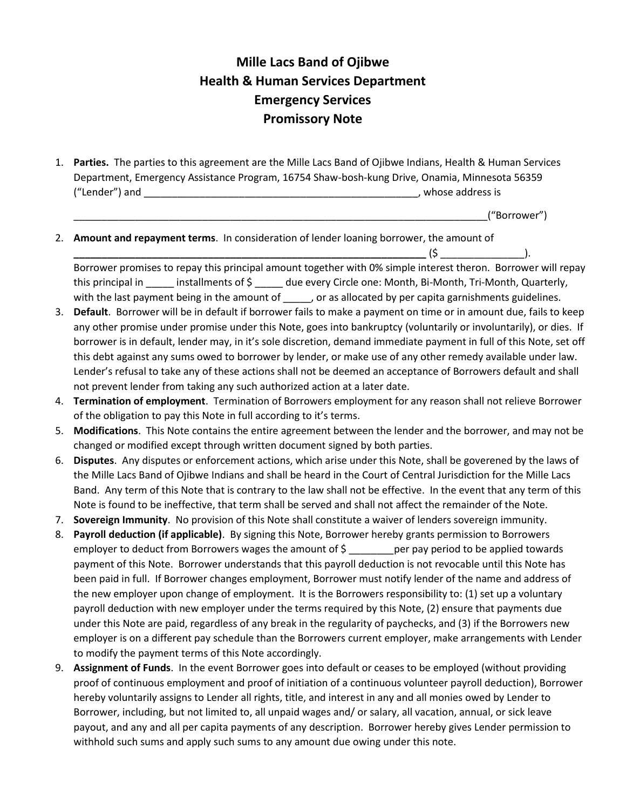### **Mille Lacs Band of Ojibwe Health & Human Services Department Emergency Services Promissory Note**

1. **Parties.** The parties to this agreement are the Mille Lacs Band of Ojibwe Indians, Health & Human Services Department, Emergency Assistance Program, 16754 Shaw-bosh-kung Drive, Onamia, Minnesota 56359 ("Lender") and \_\_\_\_\_\_\_\_\_\_\_\_\_\_\_\_\_\_\_\_\_\_\_\_\_\_\_\_\_\_\_\_\_\_\_\_\_\_\_\_\_\_\_\_\_\_\_\_\_, whose address is

\_\_\_\_\_\_\_\_\_\_\_\_\_\_\_\_\_\_\_\_\_\_\_\_\_\_\_\_\_\_\_\_\_\_\_\_\_\_\_\_\_\_\_\_\_\_\_\_\_\_\_\_\_\_\_\_\_\_\_\_\_\_\_\_\_\_\_\_\_\_\_\_\_\_("Borrower")

2. **Amount and repayment terms**. In consideration of lender loaning borrower, the amount of  $(5$   $)$ .

Borrower promises to repay this principal amount together with 0% simple interest theron. Borrower will repay this principal in \_\_\_\_\_\_ installments of \$ due every Circle one: Month, Bi-Month, Tri-Month, Quarterly, with the last payment being in the amount of \_\_\_\_\_, or as allocated by per capita garnishments guidelines.

- 3. **Default**. Borrower will be in default if borrower fails to make a payment on time or in amount due, fails to keep any other promise under promise under this Note, goes into bankruptcy (voluntarily or involuntarily), or dies. If borrower is in default, lender may, in it's sole discretion, demand immediate payment in full of this Note, set off this debt against any sums owed to borrower by lender, or make use of any other remedy available under law. Lender's refusal to take any of these actions shall not be deemed an acceptance of Borrowers default and shall not prevent lender from taking any such authorized action at a later date.
- 4. **Termination of employment**. Termination of Borrowers employment for any reason shall not relieve Borrower of the obligation to pay this Note in full according to it's terms.
- 5. **Modifications**. This Note contains the entire agreement between the lender and the borrower, and may not be changed or modified except through written document signed by both parties.
- 6. **Disputes**. Any disputes or enforcement actions, which arise under this Note, shall be goverened by the laws of the Mille Lacs Band of Ojibwe Indians and shall be heard in the Court of Central Jurisdiction for the Mille Lacs Band. Any term of this Note that is contrary to the law shall not be effective. In the event that any term of this Note is found to be ineffective, that term shall be served and shall not affect the remainder of the Note.
- 7. **Sovereign Immunity**. No provision of this Note shall constitute a waiver of lenders sovereign immunity.
- 8. **Payroll deduction (if applicable)**. By signing this Note, Borrower hereby grants permission to Borrowers employer to deduct from Borrowers wages the amount of  $\zeta$  ere pay period to be applied towards payment of this Note. Borrower understands that this payroll deduction is not revocable until this Note has been paid in full. If Borrower changes employment, Borrower must notify lender of the name and address of the new employer upon change of employment. It is the Borrowers responsibility to: (1) set up a voluntary payroll deduction with new employer under the terms required by this Note, (2) ensure that payments due under this Note are paid, regardless of any break in the regularity of paychecks, and (3) if the Borrowers new employer is on a different pay schedule than the Borrowers current employer, make arrangements with Lender to modify the payment terms of this Note accordingly.
- 9. **Assignment of Funds**. In the event Borrower goes into default or ceases to be employed (without providing proof of continuous employment and proof of initiation of a continuous volunteer payroll deduction), Borrower hereby voluntarily assigns to Lender all rights, title, and interest in any and all monies owed by Lender to Borrower, including, but not limited to, all unpaid wages and/ or salary, all vacation, annual, or sick leave payout, and any and all per capita payments of any description. Borrower hereby gives Lender permission to withhold such sums and apply such sums to any amount due owing under this note.